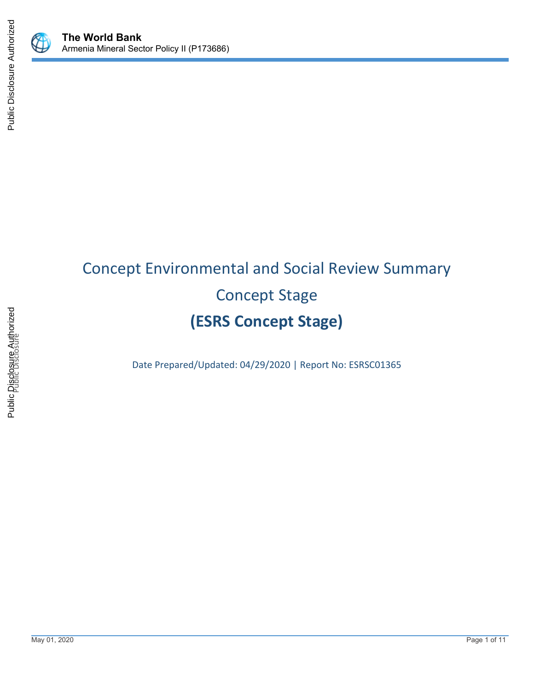

# Concept Environmental and Social Review Summary Concept Stage **(ESRS Concept Stage)**

Date Prepared/Updated: 04/29/2020 | Report No: ESRSC01365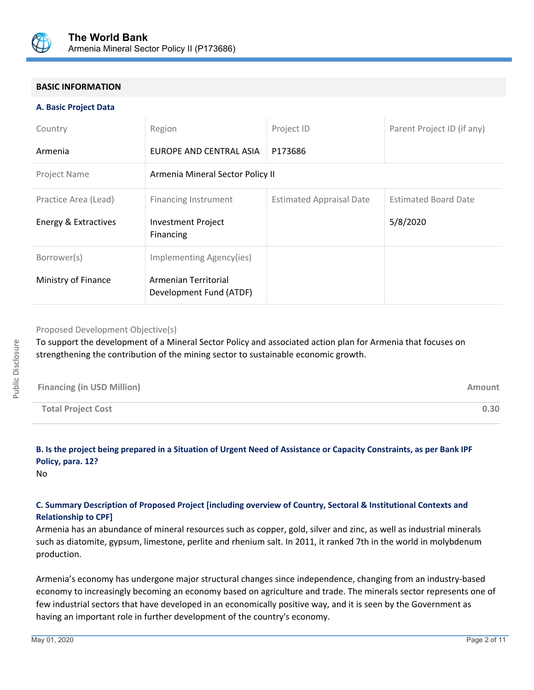

## **BASIC INFORMATION**

#### **A. Basic Project Data**

| Country              | Region                                          | Project ID                      | Parent Project ID (if any)  |  |  |
|----------------------|-------------------------------------------------|---------------------------------|-----------------------------|--|--|
| Armenia              | EUROPE AND CENTRAL ASIA                         | P173686                         |                             |  |  |
| Project Name         | Armenia Mineral Sector Policy II                |                                 |                             |  |  |
| Practice Area (Lead) | <b>Financing Instrument</b>                     | <b>Estimated Appraisal Date</b> | <b>Estimated Board Date</b> |  |  |
| Energy & Extractives | <b>Investment Project</b><br>Financing          |                                 | 5/8/2020                    |  |  |
| Borrower(s)          | Implementing Agency(ies)                        |                                 |                             |  |  |
| Ministry of Finance  | Armenian Territorial<br>Development Fund (ATDF) |                                 |                             |  |  |

Proposed Development Objective(s)

To support the development of a Mineral Sector Policy and associated action plan for Armenia that focuses on strengthening the contribution of the mining sector to sustainable economic growth.

| <b>Financing (in USD Million)</b> | Amount |
|-----------------------------------|--------|
| <b>Total Project Cost</b>         | 0.30   |

## **B. Is the project being prepared in a Situation of Urgent Need of Assistance or Capacity Constraints, as per Bank IPF Policy, para. 12?**

No

## **C. Summary Description of Proposed Project [including overview of Country, Sectoral & Institutional Contexts and Relationship to CPF]**

Armenia has an abundance of mineral resources such as copper, gold, silver and zinc, as well as industrial minerals such as diatomite, gypsum, limestone, perlite and rhenium salt. In 2011, it ranked 7th in the world in molybdenum production.

Armenia's economy has undergone major structural changes since independence, changing from an industry-based economy to increasingly becoming an economy based on agriculture and trade. The minerals sector represents one of few industrial sectors that have developed in an economically positive way, and it is seen by the Government as having an important role in further development of the country's economy.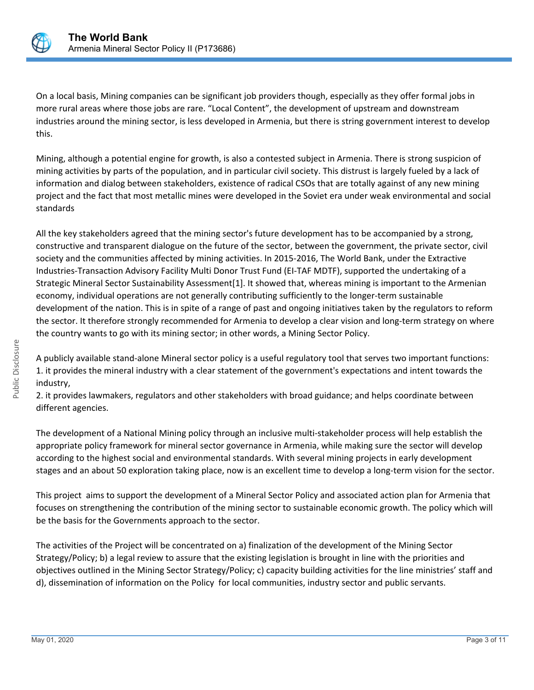

On a local basis, Mining companies can be significant job providers though, especially as they offer formal jobs in more rural areas where those jobs are rare. "Local Content", the development of upstream and downstream industries around the mining sector, is less developed in Armenia, but there is string government interest to develop this.

Mining, although a potential engine for growth, is also a contested subject in Armenia. There is strong suspicion of mining activities by parts of the population, and in particular civil society. This distrust is largely fueled by a lack of information and dialog between stakeholders, existence of radical CSOs that are totally against of any new mining project and the fact that most metallic mines were developed in the Soviet era under weak environmental and social standards

All the key stakeholders agreed that the mining sector's future development has to be accompanied by a strong, constructive and transparent dialogue on the future of the sector, between the government, the private sector, civil society and the communities affected by mining activities. In 2015-2016, The World Bank, under the Extractive Industries-Transaction Advisory Facility Multi Donor Trust Fund (EI-TAF MDTF), supported the undertaking of a Strategic Mineral Sector Sustainability Assessment[1]. It showed that, whereas mining is important to the Armenian economy, individual operations are not generally contributing sufficiently to the longer-term sustainable development of the nation. This is in spite of a range of past and ongoing initiatives taken by the regulators to reform the sector. It therefore strongly recommended for Armenia to develop a clear vision and long-term strategy on where the country wants to go with its mining sector; in other words, a Mining Sector Policy.

A publicly available stand-alone Mineral sector policy is a useful regulatory tool that serves two important functions: 1. it provides the mineral industry with a clear statement of the government's expectations and intent towards the industry,

2. it provides lawmakers, regulators and other stakeholders with broad guidance; and helps coordinate between different agencies.

The development of a National Mining policy through an inclusive multi-stakeholder process will help establish the appropriate policy framework for mineral sector governance in Armenia, while making sure the sector will develop according to the highest social and environmental standards. With several mining projects in early development stages and an about 50 exploration taking place, now is an excellent time to develop a long-term vision for the sector.

This project aims to support the development of a Mineral Sector Policy and associated action plan for Armenia that focuses on strengthening the contribution of the mining sector to sustainable economic growth. The policy which will be the basis for the Governments approach to the sector.

The activities of the Project will be concentrated on a) finalization of the development of the Mining Sector Strategy/Policy; b) a legal review to assure that the existing legislation is brought in line with the priorities and objectives outlined in the Mining Sector Strategy/Policy; c) capacity building activities for the line ministries' staff and d), dissemination of information on the Policy for local communities, industry sector and public servants.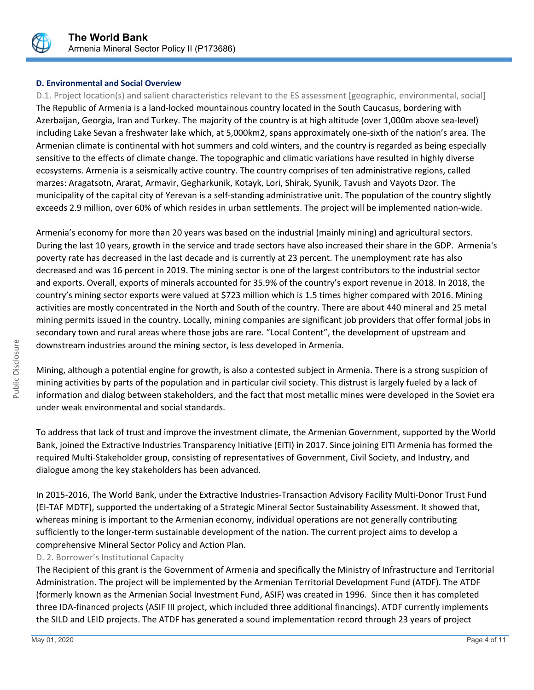

## **D. Environmental and Social Overview**

D.1. Project location(s) and salient characteristics relevant to the ES assessment [geographic, environmental, social] The Republic of Armenia is a land-locked mountainous country located in the South Caucasus, bordering with Azerbaijan, Georgia, Iran and Turkey. The majority of the country is at high altitude (over 1,000m above sea-level) including Lake Sevan a freshwater lake which, at 5,000km2, spans approximately one-sixth of the nation's area. The Armenian climate is continental with hot summers and cold winters, and the country is regarded as being especially sensitive to the effects of climate change. The topographic and climatic variations have resulted in highly diverse ecosystems. Armenia is a seismically active country. The country comprises of ten administrative regions, called marzes: Aragatsotn, Ararat, Armavir, Gegharkunik, Kotayk, Lori, Shirak, Syunik, Tavush and Vayots Dzor. The municipality of the capital city of Yerevan is a self-standing administrative unit. The population of the country slightly exceeds 2.9 million, over 60% of which resides in urban settlements. The project will be implemented nation-wide.

Armenia's economy for more than 20 years was based on the industrial (mainly mining) and agricultural sectors. During the last 10 years, growth in the service and trade sectors have also increased their share in the GDP. Armenia's poverty rate has decreased in the last decade and is currently at 23 percent. The unemployment rate has also decreased and was 16 percent in 2019. The mining sector is one of the largest contributors to the industrial sector and exports. Overall, exports of minerals accounted for 35.9% of the country's export revenue in 2018. In 2018, the country's mining sector exports were valued at \$723 million which is 1.5 times higher compared with 2016. Mining activities are mostly concentrated in the North and South of the country. There are about 440 mineral and 25 metal mining permits issued in the country. Locally, mining companies are significant job providers that offer formal jobs in secondary town and rural areas where those jobs are rare. "Local Content", the development of upstream and downstream industries around the mining sector, is less developed in Armenia.

Mining, although a potential engine for growth, is also a contested subject in Armenia. There is a strong suspicion of mining activities by parts of the population and in particular civil society. This distrust is largely fueled by a lack of information and dialog between stakeholders, and the fact that most metallic mines were developed in the Soviet era under weak environmental and social standards.

To address that lack of trust and improve the investment climate, the Armenian Government, supported by the World Bank, joined the Extractive Industries Transparency Initiative (EITI) in 2017. Since joining EITI Armenia has formed the required Multi-Stakeholder group, consisting of representatives of Government, Civil Society, and Industry, and dialogue among the key stakeholders has been advanced.

In 2015-2016, The World Bank, under the Extractive Industries-Transaction Advisory Facility Multi-Donor Trust Fund (EI-TAF MDTF), supported the undertaking of a Strategic Mineral Sector Sustainability Assessment. It showed that, whereas mining is important to the Armenian economy, individual operations are not generally contributing sufficiently to the longer-term sustainable development of the nation. The current project aims to develop a comprehensive Mineral Sector Policy and Action Plan.

D. 2. Borrower's Institutional Capacity

The Recipient of this grant is the Government of Armenia and specifically the Ministry of Infrastructure and Territorial Administration. The project will be implemented by the Armenian Territorial Development Fund (ATDF). The ATDF (formerly known as the Armenian Social Investment Fund, ASIF) was created in 1996. Since then it has completed three IDA-financed projects (ASIF III project, which included three additional financings). ATDF currently implements the SILD and LEID projects. The ATDF has generated a sound implementation record through 23 years of project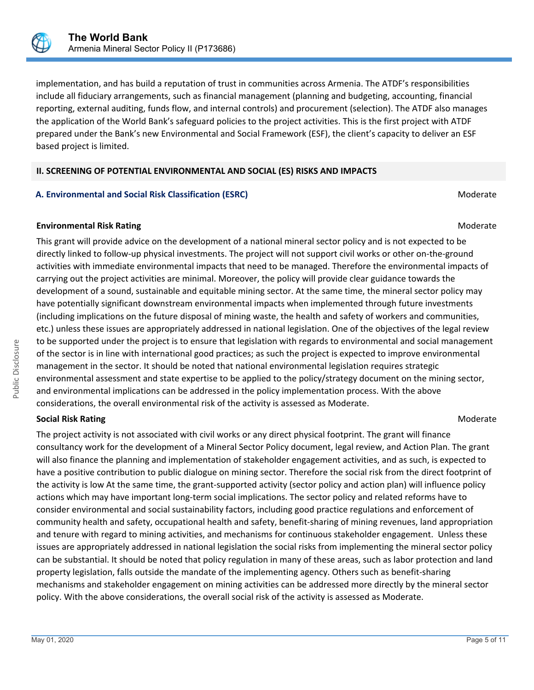

implementation, and has build a reputation of trust in communities across Armenia. The ATDF's responsibilities include all fiduciary arrangements, such as financial management (planning and budgeting, accounting, financial reporting, external auditing, funds flow, and internal controls) and procurement (selection). The ATDF also manages the application of the World Bank's safeguard policies to the project activities. This is the first project with ATDF prepared under the Bank's new Environmental and Social Framework (ESF), the client's capacity to deliver an ESF based project is limited.

#### **II. SCREENING OF POTENTIAL ENVIRONMENTAL AND SOCIAL (ES) RISKS AND IMPACTS**

## **A. Environmental and Social Risk Classification (ESRC)** Moderate Moderate

#### **Environmental Risk Rating Moderate School School School School School School School School School School School School School School School School School School School School School School School School School School Scho**

This grant will provide advice on the development of a national mineral sector policy and is not expected to be directly linked to follow-up physical investments. The project will not support civil works or other on-the-ground activities with immediate environmental impacts that need to be managed. Therefore the environmental impacts of carrying out the project activities are minimal. Moreover, the policy will provide clear guidance towards the development of a sound, sustainable and equitable mining sector. At the same time, the mineral sector policy may have potentially significant downstream environmental impacts when implemented through future investments (including implications on the future disposal of mining waste, the health and safety of workers and communities, etc.) unless these issues are appropriately addressed in national legislation. One of the objectives of the legal review to be supported under the project is to ensure that legislation with regards to environmental and social management of the sector is in line with international good practices; as such the project is expected to improve environmental management in the sector. It should be noted that national environmental legislation requires strategic environmental assessment and state expertise to be applied to the policy/strategy document on the mining sector, and environmental implications can be addressed in the policy implementation process. With the above considerations, the overall environmental risk of the activity is assessed as Moderate.

#### **Social Risk Rating Moderate Social Risk Rating Moderate**  $M$

The project activity is not associated with civil works or any direct physical footprint. The grant will finance consultancy work for the development of a Mineral Sector Policy document, legal review, and Action Plan. The grant will also finance the planning and implementation of stakeholder engagement activities, and as such, is expected to have a positive contribution to public dialogue on mining sector. Therefore the social risk from the direct footprint of the activity is low At the same time, the grant-supported activity (sector policy and action plan) will influence policy actions which may have important long-term social implications. The sector policy and related reforms have to consider environmental and social sustainability factors, including good practice regulations and enforcement of community health and safety, occupational health and safety, benefit-sharing of mining revenues, land appropriation and tenure with regard to mining activities, and mechanisms for continuous stakeholder engagement. Unless these issues are appropriately addressed in national legislation the social risks from implementing the mineral sector policy can be substantial. It should be noted that policy regulation in many of these areas, such as labor protection and land property legislation, falls outside the mandate of the implementing agency. Others such as benefit-sharing mechanisms and stakeholder engagement on mining activities can be addressed more directly by the mineral sector policy. With the above considerations, the overall social risk of the activity is assessed as Moderate.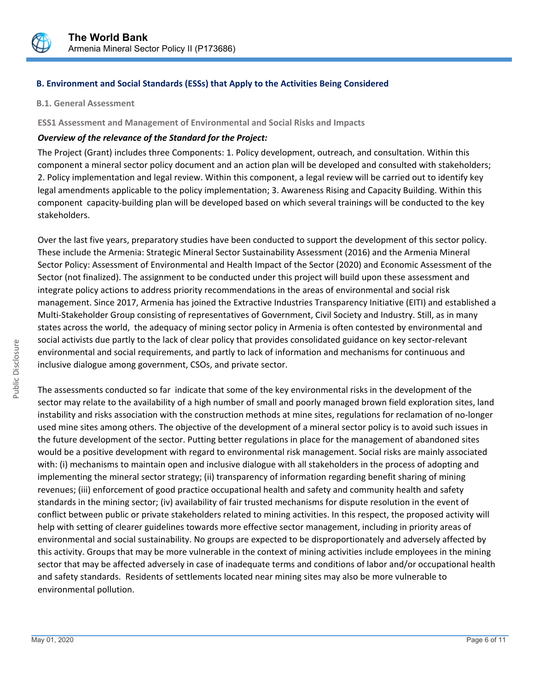

## **B. Environment and Social Standards (ESSs) that Apply to the Activities Being Considered**

**B.1. General Assessment**

#### **ESS1 Assessment and Management of Environmental and Social Risks and Impacts**

#### *Overview of the relevance of the Standard for the Project:*

The Project (Grant) includes three Components: 1. Policy development, outreach, and consultation. Within this component a mineral sector policy document and an action plan will be developed and consulted with stakeholders; 2. Policy implementation and legal review. Within this component, a legal review will be carried out to identify key legal amendments applicable to the policy implementation; 3. Awareness Rising and Capacity Building. Within this component capacity-building plan will be developed based on which several trainings will be conducted to the key stakeholders.

Over the last five years, preparatory studies have been conducted to support the development of this sector policy. These include the Armenia: Strategic Mineral Sector Sustainability Assessment (2016) and the Armenia Mineral Sector Policy: Assessment of Environmental and Health Impact of the Sector (2020) and Economic Assessment of the Sector (not finalized). The assignment to be conducted under this project will build upon these assessment and integrate policy actions to address priority recommendations in the areas of environmental and social risk management. Since 2017, Armenia has joined the Extractive Industries Transparency Initiative (EITI) and established a Multi-Stakeholder Group consisting of representatives of Government, Civil Society and Industry. Still, as in many states across the world, the adequacy of mining sector policy in Armenia is often contested by environmental and social activists due partly to the lack of clear policy that provides consolidated guidance on key sector-relevant environmental and social requirements, and partly to lack of information and mechanisms for continuous and inclusive dialogue among government, CSOs, and private sector.

The assessments conducted so far indicate that some of the key environmental risks in the development of the sector may relate to the availability of a high number of small and poorly managed brown field exploration sites, land instability and risks association with the construction methods at mine sites, regulations for reclamation of no-longer used mine sites among others. The objective of the development of a mineral sector policy is to avoid such issues in the future development of the sector. Putting better regulations in place for the management of abandoned sites would be a positive development with regard to environmental risk management. Social risks are mainly associated with: (i) mechanisms to maintain open and inclusive dialogue with all stakeholders in the process of adopting and implementing the mineral sector strategy; (ii) transparency of information regarding benefit sharing of mining revenues; (iii) enforcement of good practice occupational health and safety and community health and safety standards in the mining sector; (iv) availability of fair trusted mechanisms for dispute resolution in the event of conflict between public or private stakeholders related to mining activities. In this respect, the proposed activity will help with setting of clearer guidelines towards more effective sector management, including in priority areas of environmental and social sustainability. No groups are expected to be disproportionately and adversely affected by this activity. Groups that may be more vulnerable in the context of mining activities include employees in the mining sector that may be affected adversely in case of inadequate terms and conditions of labor and/or occupational health and safety standards. Residents of settlements located near mining sites may also be more vulnerable to environmental pollution.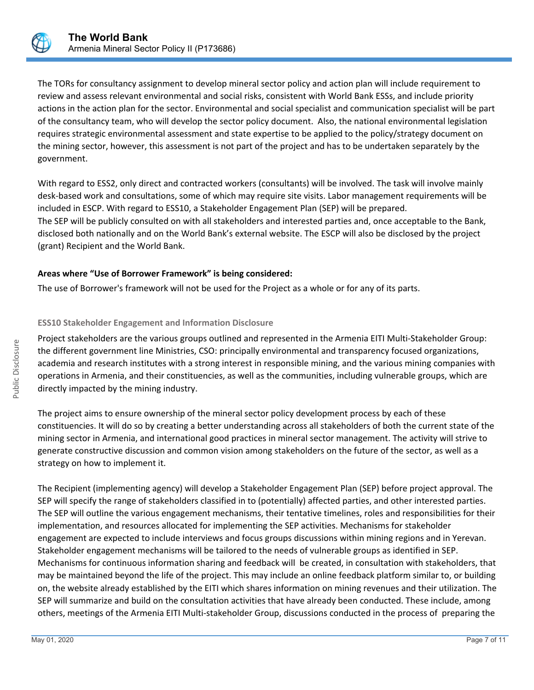

The TORs for consultancy assignment to develop mineral sector policy and action plan will include requirement to review and assess relevant environmental and social risks, consistent with World Bank ESSs, and include priority actions in the action plan for the sector. Environmental and social specialist and communication specialist will be part of the consultancy team, who will develop the sector policy document. Also, the national environmental legislation requires strategic environmental assessment and state expertise to be applied to the policy/strategy document on the mining sector, however, this assessment is not part of the project and has to be undertaken separately by the government.

With regard to ESS2, only direct and contracted workers (consultants) will be involved. The task will involve mainly desk-based work and consultations, some of which may require site visits. Labor management requirements will be included in ESCP. With regard to ESS10, a Stakeholder Engagement Plan (SEP) will be prepared. The SEP will be publicly consulted on with all stakeholders and interested parties and, once acceptable to the Bank, disclosed both nationally and on the World Bank's external website. The ESCP will also be disclosed by the project (grant) Recipient and the World Bank.

## **Areas where "Use of Borrower Framework" is being considered:**

The use of Borrower's framework will not be used for the Project as a whole or for any of its parts.

#### **ESS10 Stakeholder Engagement and Information Disclosure**

Project stakeholders are the various groups outlined and represented in the Armenia EITI Multi-Stakeholder Group: the different government line Ministries, CSO: principally environmental and transparency focused organizations, academia and research institutes with a strong interest in responsible mining, and the various mining companies with operations in Armenia, and their constituencies, as well as the communities, including vulnerable groups, which are directly impacted by the mining industry.

The project aims to ensure ownership of the mineral sector policy development process by each of these constituencies. It will do so by creating a better understanding across all stakeholders of both the current state of the mining sector in Armenia, and international good practices in mineral sector management. The activity will strive to generate constructive discussion and common vision among stakeholders on the future of the sector, as well as a strategy on how to implement it.

The Recipient (implementing agency) will develop a Stakeholder Engagement Plan (SEP) before project approval. The SEP will specify the range of stakeholders classified in to (potentially) affected parties, and other interested parties. The SEP will outline the various engagement mechanisms, their tentative timelines, roles and responsibilities for their implementation, and resources allocated for implementing the SEP activities. Mechanisms for stakeholder engagement are expected to include interviews and focus groups discussions within mining regions and in Yerevan. Stakeholder engagement mechanisms will be tailored to the needs of vulnerable groups as identified in SEP. Mechanisms for continuous information sharing and feedback will be created, in consultation with stakeholders, that may be maintained beyond the life of the project. This may include an online feedback platform similar to, or building on, the website already established by the EITI which shares information on mining revenues and their utilization. The SEP will summarize and build on the consultation activities that have already been conducted. These include, among others, meetings of the Armenia EITI Multi-stakeholder Group, discussions conducted in the process of preparing the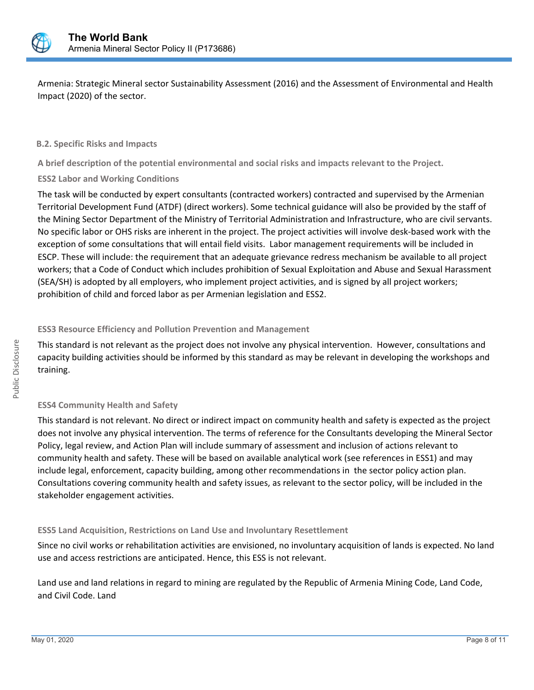

Armenia: Strategic Mineral sector Sustainability Assessment (2016) and the Assessment of Environmental and Health Impact (2020) of the sector.

#### **B.2. Specific Risks and Impacts**

**A brief description of the potential environmental and social risks and impacts relevant to the Project.**

#### **ESS2 Labor and Working Conditions**

The task will be conducted by expert consultants (contracted workers) contracted and supervised by the Armenian Territorial Development Fund (ATDF) (direct workers). Some technical guidance will also be provided by the staff of the Mining Sector Department of the Ministry of Territorial Administration and Infrastructure, who are civil servants. No specific labor or OHS risks are inherent in the project. The project activities will involve desk-based work with the exception of some consultations that will entail field visits. Labor management requirements will be included in ESCP. These will include: the requirement that an adequate grievance redress mechanism be available to all project workers; that a Code of Conduct which includes prohibition of Sexual Exploitation and Abuse and Sexual Harassment (SEA/SH) is adopted by all employers, who implement project activities, and is signed by all project workers; prohibition of child and forced labor as per Armenian legislation and ESS2.

#### **ESS3 Resource Efficiency and Pollution Prevention and Management**

This standard is not relevant as the project does not involve any physical intervention. However, consultations and capacity building activities should be informed by this standard as may be relevant in developing the workshops and training.

#### **ESS4 Community Health and Safety**

This standard is not relevant. No direct or indirect impact on community health and safety is expected as the project does not involve any physical intervention. The terms of reference for the Consultants developing the Mineral Sector Policy, legal review, and Action Plan will include summary of assessment and inclusion of actions relevant to community health and safety. These will be based on available analytical work (see references in ESS1) and may include legal, enforcement, capacity building, among other recommendations in the sector policy action plan. Consultations covering community health and safety issues, as relevant to the sector policy, will be included in the stakeholder engagement activities.

#### **ESS5 Land Acquisition, Restrictions on Land Use and Involuntary Resettlement**

Since no civil works or rehabilitation activities are envisioned, no involuntary acquisition of lands is expected. No land use and access restrictions are anticipated. Hence, this ESS is not relevant.

Land use and land relations in regard to mining are regulated by the Republic of Armenia Mining Code, Land Code, and Civil Code. Land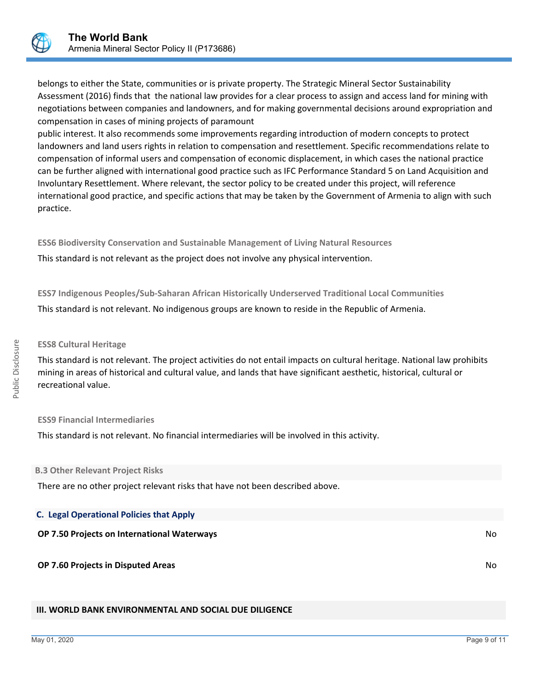

belongs to either the State, communities or is private property. The Strategic Mineral Sector Sustainability Assessment (2016) finds that the national law provides for a clear process to assign and access land for mining with negotiations between companies and landowners, and for making governmental decisions around expropriation and compensation in cases of mining projects of paramount

public interest. It also recommends some improvements regarding introduction of modern concepts to protect landowners and land users rights in relation to compensation and resettlement. Specific recommendations relate to compensation of informal users and compensation of economic displacement, in which cases the national practice can be further aligned with international good practice such as IFC Performance Standard 5 on Land Acquisition and Involuntary Resettlement. Where relevant, the sector policy to be created under this project, will reference international good practice, and specific actions that may be taken by the Government of Armenia to align with such practice.

**ESS6 Biodiversity Conservation and Sustainable Management of Living Natural Resources** This standard is not relevant as the project does not involve any physical intervention.

**ESS7 Indigenous Peoples/Sub-Saharan African Historically Underserved Traditional Local Communities** This standard is not relevant. No indigenous groups are known to reside in the Republic of Armenia.

#### **ESS8 Cultural Heritage**

This standard is not relevant. The project activities do not entail impacts on cultural heritage. National law prohibits mining in areas of historical and cultural value, and lands that have significant aesthetic, historical, cultural or recreational value.

#### **ESS9 Financial Intermediaries**

This standard is not relevant. No financial intermediaries will be involved in this activity.

#### **B.3 Other Relevant Project Risks**

There are no other project relevant risks that have not been described above.

| <b>C. Legal Operational Policies that Apply</b>    |     |
|----------------------------------------------------|-----|
| <b>OP 7.50 Projects on International Waterways</b> | No. |
| OP 7.60 Projects in Disputed Areas                 | No. |

#### **III. WORLD BANK ENVIRONMENTAL AND SOCIAL DUE DILIGENCE**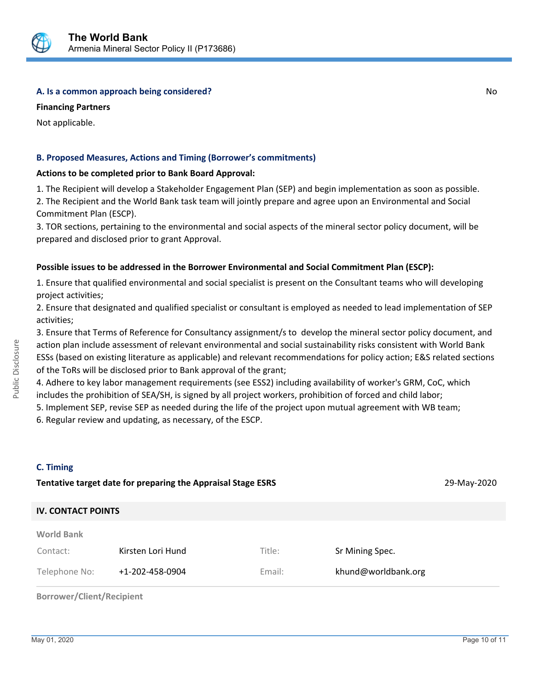

#### **A. Is a common approach being considered?** No **No. 2. Is a common approach being considered?**

**Financing Partners**

Not applicable.

#### **B. Proposed Measures, Actions and Timing (Borrower's commitments)**

#### **Actions to be completed prior to Bank Board Approval:**

1. The Recipient will develop a Stakeholder Engagement Plan (SEP) and begin implementation as soon as possible.

2. The Recipient and the World Bank task team will jointly prepare and agree upon an Environmental and Social Commitment Plan (ESCP).

3. TOR sections, pertaining to the environmental and social aspects of the mineral sector policy document, will be prepared and disclosed prior to grant Approval.

#### **Possible issues to be addressed in the Borrower Environmental and Social Commitment Plan (ESCP):**

1. Ensure that qualified environmental and social specialist is present on the Consultant teams who will developing project activities;

2. Ensure that designated and qualified specialist or consultant is employed as needed to lead implementation of SEP activities;

3. Ensure that Terms of Reference for Consultancy assignment/s to develop the mineral sector policy document, and action plan include assessment of relevant environmental and social sustainability risks consistent with World Bank ESSs (based on existing literature as applicable) and relevant recommendations for policy action; E&S related sections of the ToRs will be disclosed prior to Bank approval of the grant;

4. Adhere to key labor management requirements (see ESS2) including availability of worker's GRM, CoC, which includes the prohibition of SEA/SH, is signed by all project workers, prohibition of forced and child labor;

5. Implement SEP, revise SEP as needed during the life of the project upon mutual agreement with WB team;

6. Regular review and updating, as necessary, of the ESCP.

#### **C. Timing**

| Tentative target date for preparing the Appraisal Stage ESRS |        |                     |  |  |  |  |
|--------------------------------------------------------------|--------|---------------------|--|--|--|--|
| <b>IV. CONTACT POINTS</b>                                    |        |                     |  |  |  |  |
|                                                              |        |                     |  |  |  |  |
| Kirsten Lori Hund                                            | Title: | Sr Mining Spec.     |  |  |  |  |
| +1-202-458-0904                                              | Email: | khund@worldbank.org |  |  |  |  |
|                                                              |        |                     |  |  |  |  |

**Borrower/Client/Recipient**